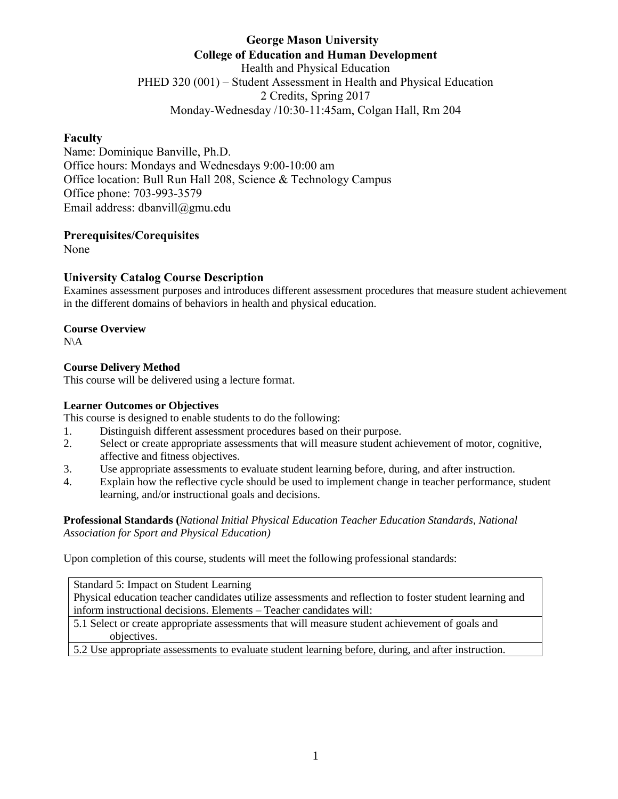# **George Mason University College of Education and Human Development** Health and Physical Education PHED 320 (001) – Student Assessment in Health and Physical Education 2 Credits, Spring 2017 Monday-Wednesday /10:30-11:45am, Colgan Hall, Rm 204

## **Faculty**

Name: Dominique Banville, Ph.D. Office hours: Mondays and Wednesdays 9:00-10:00 am Office location: Bull Run Hall 208, Science & Technology Campus Office phone: 703-993-3579 Email address: dbanvill@gmu.edu

## **Prerequisites/Corequisites**

None

## **University Catalog Course Description**

Examines assessment purposes and introduces different assessment procedures that measure student achievement in the different domains of behaviors in health and physical education.

## **Course Overview**

N\A

## **Course Delivery Method**

This course will be delivered using a lecture format.

## **Learner Outcomes or Objectives**

This course is designed to enable students to do the following:

- 1. Distinguish different assessment procedures based on their purpose.
- 2. Select or create appropriate assessments that will measure student achievement of motor, cognitive, affective and fitness objectives.
- 3. Use appropriate assessments to evaluate student learning before, during, and after instruction.
- 4. Explain how the reflective cycle should be used to implement change in teacher performance, student learning, and/or instructional goals and decisions.

**Professional Standards (***National Initial Physical Education Teacher Education Standards, National Association for Sport and Physical Education)*

Upon completion of this course, students will meet the following professional standards:

Standard 5: Impact on Student Learning Physical education teacher candidates utilize assessments and reflection to foster student learning and inform instructional decisions. Elements – Teacher candidates will:

5.1 Select or create appropriate assessments that will measure student achievement of goals and objectives.

5.2 Use appropriate assessments to evaluate student learning before, during, and after instruction.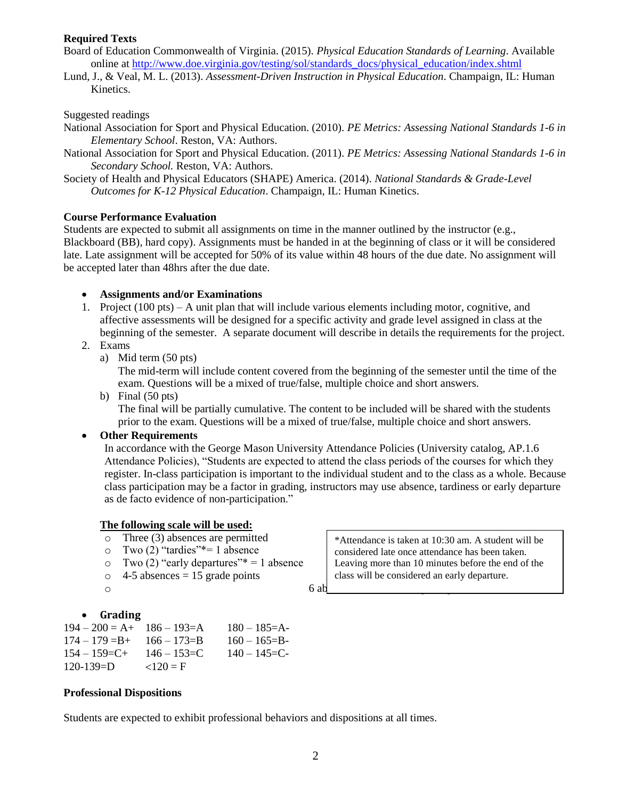## **Required Texts**

- Board of Education Commonwealth of Virginia. (2015). *Physical Education Standards of Learning*. Available online at [http://www.doe.virginia.gov/testing/sol/standards\\_docs/physical\\_education/index.shtml](http://www.doe.virginia.gov/testing/sol/standards_docs/physical_education/index.shtml)
- Lund, J., & Veal, M. L. (2013). *Assessment-Driven Instruction in Physical Education*. Champaign, IL: Human Kinetics.

### Suggested readings

- National Association for Sport and Physical Education. (2010). *PE Metrics: Assessing National Standards 1-6 in Elementary School*. Reston, VA: Authors.
- National Association for Sport and Physical Education. (2011). *PE Metrics: Assessing National Standards 1-6 in Secondary School.* Reston, VA: Authors.
- Society of Health and Physical Educators (SHAPE) America. (2014). *National Standards & Grade-Level Outcomes for K-12 Physical Education*. Champaign, IL: Human Kinetics.

#### **Course Performance Evaluation**

Students are expected to submit all assignments on time in the manner outlined by the instructor (e.g., Blackboard (BB), hard copy). Assignments must be handed in at the beginning of class or it will be considered late. Late assignment will be accepted for 50% of its value within 48 hours of the due date. No assignment will be accepted later than 48hrs after the due date.

#### **Assignments and/or Examinations**

- 1. Project (100 pts) A unit plan that will include various elements including motor, cognitive, and affective assessments will be designed for a specific activity and grade level assigned in class at the beginning of the semester. A separate document will describe in details the requirements for the project.
- 2. Exams
	- a) Mid term (50 pts)

The mid-term will include content covered from the beginning of the semester until the time of the exam. Questions will be a mixed of true/false, multiple choice and short answers.

b) Final (50 pts)

The final will be partially cumulative. The content to be included will be shared with the students prior to the exam. Questions will be a mixed of true/false, multiple choice and short answers.

## **Other Requirements**

In accordance with the George Mason University Attendance Policies (University catalog, AP.1.6 Attendance Policies), "Students are expected to attend the class periods of the courses for which they register. In-class participation is important to the individual student and to the class as a whole. Because class participation may be a factor in grading, instructors may use absence, tardiness or early departure as de facto evidence of non-participation."

#### **The following scale will be used:**

- o Three (3) absences are permitted
- o Two (2) "tardies"\*= 1 absence
- $\degree$  Two (2) "early departures"\* = 1 absence
- $\circ$  4-5 absences = 15 grade points

## **Grading**

 $194 - 200 = A + 186 - 193 = A - 180 - 185 = A$  $174 - 179 = B + 166 - 173 = B - 160 - 165 = B 154 - 159 = C + 146 - 153 = C$   $140 - 145 = C$  $120-139=D$   $\langle 120 = F$ 

#### **Professional Dispositions**

Students are expected to exhibit professional behaviors and dispositions at all times.

\*Attendance is taken at 10:30 am. A student will be considered late once attendance has been taken. Leaving more than 10 minutes before the end of the class will be considered an early departure.

 $\circ$  6 absences or more  $\circ$  6 absences or more points.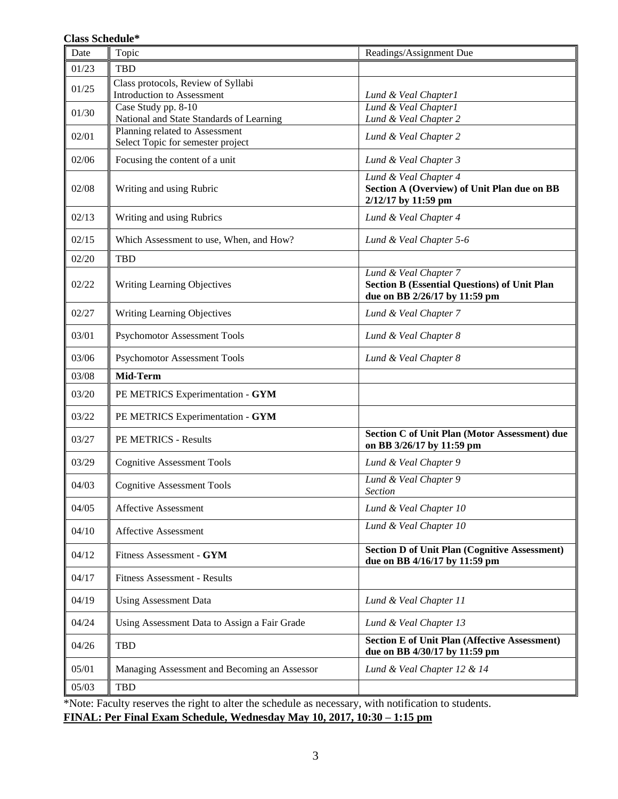### **Class Schedule\***

| Date  | Topic                                                               | Readings/Assignment Due                                                                                       |
|-------|---------------------------------------------------------------------|---------------------------------------------------------------------------------------------------------------|
| 01/23 | <b>TBD</b>                                                          |                                                                                                               |
| 01/25 | Class protocols, Review of Syllabi<br>Introduction to Assessment    | Lund & Veal Chapter1                                                                                          |
| 01/30 | Case Study pp. 8-10<br>National and State Standards of Learning     | Lund & Veal Chapter1<br>Lund & Veal Chapter 2                                                                 |
| 02/01 | Planning related to Assessment<br>Select Topic for semester project | Lund & Veal Chapter 2                                                                                         |
| 02/06 | Focusing the content of a unit                                      | Lund & Veal Chapter 3                                                                                         |
| 02/08 | Writing and using Rubric                                            | Lund & Veal Chapter 4<br>Section A (Overview) of Unit Plan due on BB<br>2/12/17 by 11:59 pm                   |
| 02/13 | Writing and using Rubrics                                           | Lund & Veal Chapter 4                                                                                         |
| 02/15 | Which Assessment to use, When, and How?                             | Lund & Veal Chapter 5-6                                                                                       |
| 02/20 | <b>TBD</b>                                                          |                                                                                                               |
| 02/22 | Writing Learning Objectives                                         | Lund & Veal Chapter 7<br><b>Section B (Essential Questions) of Unit Plan</b><br>due on BB 2/26/17 by 11:59 pm |
| 02/27 | Writing Learning Objectives                                         | Lund & Veal Chapter 7                                                                                         |
| 03/01 | <b>Psychomotor Assessment Tools</b>                                 | Lund & Veal Chapter 8                                                                                         |
| 03/06 | <b>Psychomotor Assessment Tools</b>                                 | Lund & Veal Chapter 8                                                                                         |
| 03/08 | Mid-Term                                                            |                                                                                                               |
| 03/20 | PE METRICS Experimentation - GYM                                    |                                                                                                               |
| 03/22 | PE METRICS Experimentation - GYM                                    |                                                                                                               |
| 03/27 | PE METRICS - Results                                                | Section C of Unit Plan (Motor Assessment) due<br>on BB 3/26/17 by 11:59 pm                                    |
| 03/29 | <b>Cognitive Assessment Tools</b>                                   | Lund & Veal Chapter 9                                                                                         |
| 04/03 | <b>Cognitive Assessment Tools</b>                                   | Lund & Veal Chapter 9<br><b>Section</b>                                                                       |
| 04/05 | <b>Affective Assessment</b>                                         | Lund & Veal Chapter 10                                                                                        |
| 04/10 | <b>Affective Assessment</b>                                         | Lund & Veal Chapter 10                                                                                        |
| 04/12 | Fitness Assessment - GYM                                            | <b>Section D of Unit Plan (Cognitive Assessment)</b><br>due on BB 4/16/17 by 11:59 pm                         |
| 04/17 | <b>Fitness Assessment - Results</b>                                 |                                                                                                               |
| 04/19 | <b>Using Assessment Data</b>                                        | Lund & Veal Chapter 11                                                                                        |
| 04/24 | Using Assessment Data to Assign a Fair Grade                        | Lund & Veal Chapter 13                                                                                        |
| 04/26 | <b>TBD</b>                                                          | <b>Section E of Unit Plan (Affective Assessment)</b><br>due on BB 4/30/17 by 11:59 pm                         |
| 05/01 | Managing Assessment and Becoming an Assessor                        | Lund & Veal Chapter 12 & 14                                                                                   |
| 05/03 | <b>TBD</b>                                                          |                                                                                                               |

\*Note: Faculty reserves the right to alter the schedule as necessary, with notification to students. **FINAL: Per Final Exam Schedule, Wednesday May 10, 2017, 10:30 – 1:15 pm**